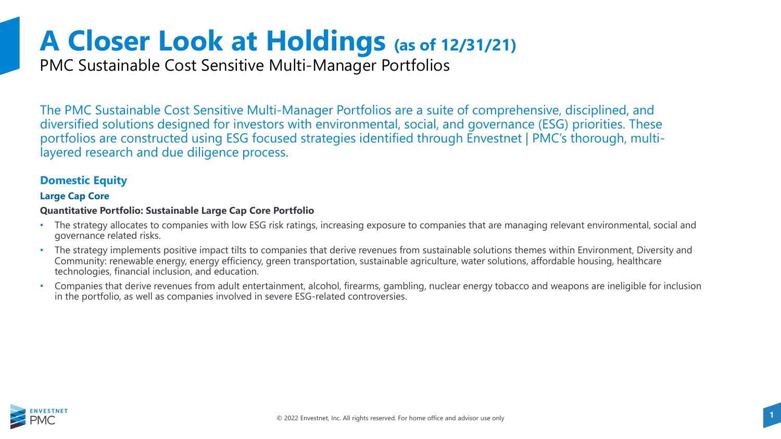PMC Sustainable Cost Sensitive Multi-Manager Portfolios

The PMC Sustainable Cost Sensitive Multi-Manager Portfolios are a suite of comprehensive, disciplined, and diversified solutions designed for investors with environmental, social, and governance (ESG) priorities. These portfolios are constructed using ESG focused strategies identified through Envestnet | PMC's thorough, multilayered research and due diligence process.

### **Domestic Equity**

### **Large Cap Core**

### **Quantitative Portfolio: Sustainable Large Cap Core Portfolio**

- The strategy allocates to companies with low ESG risk ratings, increasing exposure to companies that are managing relevant environmental, social and governance related risks.
- The strategy implements positive impact tilts to companies that derive revenues from sustainable solutions themes within Environment, Diversity and Community: renewable energy, energy efficiency, green transportation, sustainable agriculture, water solutions, affordable housing, healthcare technologies, financial inclusion, and education.
- Companies that derive revenues from adult entertainment, alcohol, firearms, gambling, nuclear energy tobacco and weapons are ineligible for inclusion in the portfolio, as well as companies involved in severe ESG-related controversies.

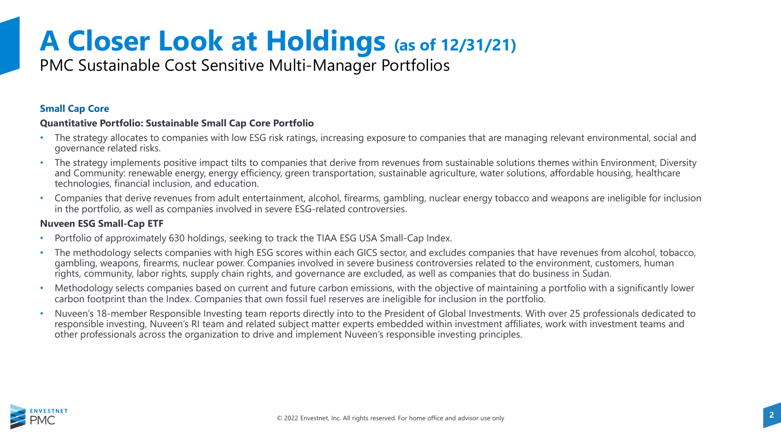## PMC Sustainable Cost Sensitive Multi-Manager Portfolios

### **Small Cap Core**

### **Quantitative Portfolio: Sustainable Small Cap Core Portfolio**

- The strategy allocates to companies with low ESG risk ratings, increasing exposure to companies that are managing relevant environmental, social and governance related risks.
- The strategy implements positive impact tilts to companies that derive from revenues from sustainable solutions themes within Environment, Diversity and Community: renewable energy, energy efficiency, green transportation, sustainable agriculture, water solutions, affordable housing, healthcare technologies, financial inclusion, and education.
- Companies that derive revenues from adult entertainment, alcohol, firearms, gambling, nuclear energy tobacco and weapons are ineligible for inclusion in the portfolio, as well as companies involved in severe ESG-related controversies.

### **Nuveen ESG Small-Cap ETF**

- Portfolio of approximately 630 holdings, seeking to track the TIAA ESG USA Small-Cap Index.
- The methodology selects companies with high ESG scores within each GICS sector, and excludes companies that have revenues from alcohol, tobacco, gambling, weapons, firearms, nuclear power. Companies involved in severe business controversies related to the environment, customers, human rights, community, labor rights, supply chain rights, and governance are excluded, as well as companies that do business in Sudan.
- Methodology selects companies based on current and future carbon emissions, with the objective of maintaining a portfolio with a significantly lower carbon footprint than the Index. Companies that own fossil fuel reserves are ineligible for inclusion in the portfolio.
- Nuveen's 18-member Responsible Investing team reports directly into to the President of Global Investments. With over 25 professionals dedicated to responsible investing, Nuveen's RI team and related subject matter experts embedded within investment affiliates, work with investment teams and other professionals across the organization to drive and implement Nuveen's responsible investing principles.

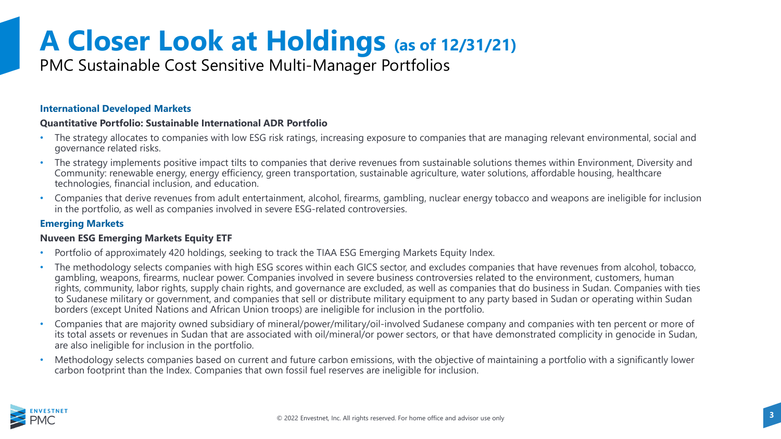## PMC Sustainable Cost Sensitive Multi-Manager Portfolios

#### **International Developed Markets**

#### **Quantitative Portfolio: Sustainable International ADR Portfolio**

- The strategy allocates to companies with low ESG risk ratings, increasing exposure to companies that are managing relevant environmental, social and governance related risks.
- The strategy implements positive impact tilts to companies that derive revenues from sustainable solutions themes within Environment, Diversity and Community: renewable energy, energy efficiency, green transportation, sustainable agriculture, water solutions, affordable housing, healthcare technologies, financial inclusion, and education.
- Companies that derive revenues from adult entertainment, alcohol, firearms, gambling, nuclear energy tobacco and weapons are ineligible for inclusion in the portfolio, as well as companies involved in severe ESG-related controversies.

### **Emerging Markets**

### **Nuveen ESG Emerging Markets Equity ETF**

- Portfolio of approximately 420 holdings, seeking to track the TIAA ESG Emerging Markets Equity Index.
- The methodology selects companies with high ESG scores within each GICS sector, and excludes companies that have revenues from alcohol, tobacco, gambling, weapons, firearms, nuclear power. Companies involved in severe business controversies related to the environment, customers, human rights, community, labor rights, supply chain rights, and governance are excluded, as well as companies that do business in Sudan. Companies with ties to Sudanese military or government, and companies that sell or distribute military equipment to any party based in Sudan or operating within Sudan borders (except United Nations and African Union troops) are ineligible for inclusion in the portfolio.
- Companies that are majority owned subsidiary of mineral/power/military/oil-involved Sudanese company and companies with ten percent or more of its total assets or revenues in Sudan that are associated with oil/mineral/or power sectors, or that have demonstrated complicity in genocide in Sudan, are also ineligible for inclusion in the portfolio.
- Methodology selects companies based on current and future carbon emissions, with the objective of maintaining a portfolio with a significantly lower carbon footprint than the Index. Companies that own fossil fuel reserves are ineligible for inclusion.

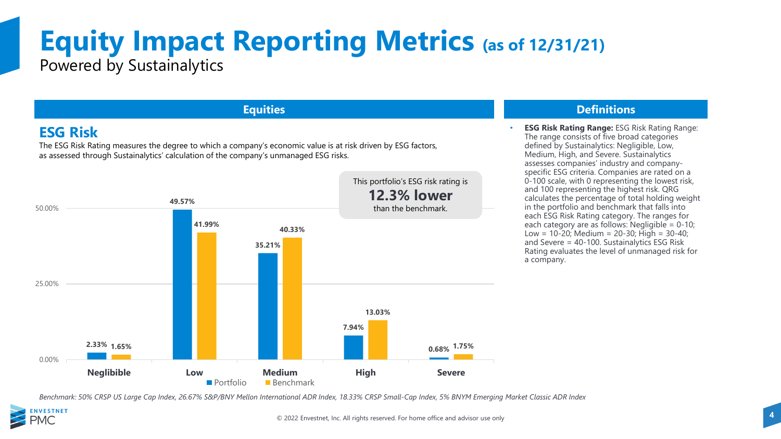## **Equity Impact Reporting Metrics (as of 12/31/21)** Powered by Sustainalytics

### **ESG Risk**

The ESG Risk Rating measures the degree to which a company's economic value is at risk driven by ESG factors, as assessed through Sustainalytics' calculation of the company's unmanaged ESG risks.



### **Equities Definitions**

• **ESG Risk Rating Range:** ESG Risk Rating Range: The range consists of five broad categories defined by Sustainalytics: Negligible, Low, Medium, High, and Severe. Sustainalytics assesses companies' industry and companyspecific ESG criteria. Companies are rated on a 0-100 scale, with 0 representing the lowest risk, and 100 representing the highest risk. QRG calculates the percentage of total holding weight in the portfolio and benchmark that falls into each ESG Risk Rating category. The ranges for each category are as follows: Negligible =  $0-10$ ; Low =  $10\overline{-}20$ ; Medium =  $20\overline{-}30$ ; High =  $30\overline{-}40$ ; and Severe = 40-100. Sustainalytics ESG Risk Rating evaluates the level of unmanaged risk for a company.

*Benchmark: 50% CRSP US Large Cap Index, 26.67% S&P/BNY Mellon International ADR Index, 18.33% CRSP Small-Cap Index, 5% BNYM Emerging Market Classic ADR Index* 

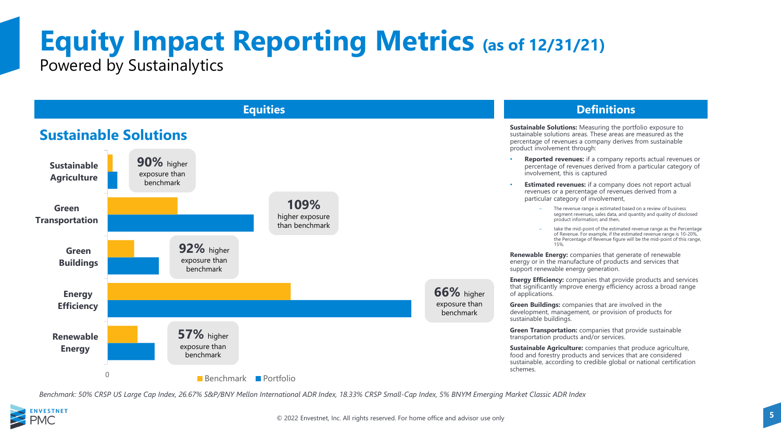## **Equity Impact Reporting Metrics (as of 12/31/21)** Powered by Sustainalytics



*Benchmark: 50% CRSP US Large Cap Index, 26.67% S&P/BNY Mellon International ADR Index, 18.33% CRSP Small-Cap Index, 5% BNYM Emerging Market Classic ADR Index* 

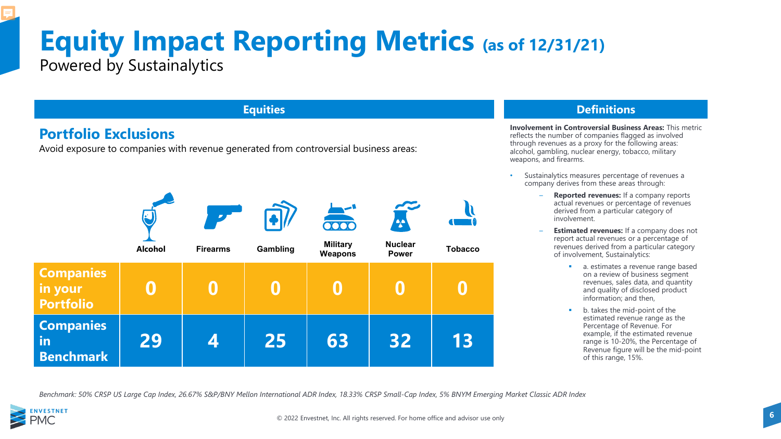## **Equity Impact Reporting Metrics (as of 12/31/21)** Powered by Sustainalytics

### **Portfolio Exclusions**

Avoid exposure to companies with revenue generated from controversial business areas:



### **Equities Definitions**

**Involvement in Controversial Business Areas:** This metric reflects the number of companies flagged as involved through revenues as a proxy for the following areas: alcohol, gambling, nuclear energy, tobacco, military weapons, and firearms.

- Sustainalytics measures percentage of revenues a company derives from these areas through:
	- **Reported revenues:** If a company reports actual revenues or percentage of revenues derived from a particular category of involvement.
	- **Estimated revenues:** If a company does not report actual revenues or a percentage of revenues derived from a particular category of involvement, Sustainalytics:
		- **a.** estimates a revenue range based on a review of business segment revenues, sales data, and quantity and quality of disclosed product information; and then,
		- b. takes the mid-point of the estimated revenue range as the Percentage of Revenue. For example, if the estimated revenue range is 10-20%, the Percentage of Revenue figure will be the mid-point of this range, 15%.

*Benchmark: 50% CRSP US Large Cap Index, 26.67% S&P/BNY Mellon International ADR Index, 18.33% CRSP Small-Cap Index, 5% BNYM Emerging Market Classic ADR Index* 

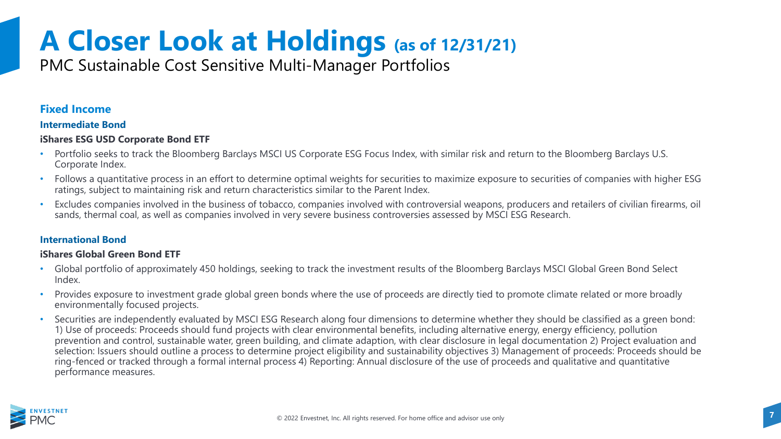PMC Sustainable Cost Sensitive Multi-Manager Portfolios

### **Fixed Income**

### **Intermediate Bond**

### **iShares ESG USD Corporate Bond ETF**

- Portfolio seeks to track the Bloomberg Barclays MSCI US Corporate ESG Focus Index, with similar risk and return to the Bloomberg Barclays U.S. Corporate Index.
- Follows a quantitative process in an effort to determine optimal weights for securities to maximize exposure to securities of companies with higher ESG ratings, subject to maintaining risk and return characteristics similar to the Parent Index.
- Excludes companies involved in the business of tobacco, companies involved with controversial weapons, producers and retailers of civilian firearms, oil sands, thermal coal, as well as companies involved in very severe business controversies assessed by MSCI ESG Research.

### **International Bond**

### **iShares Global Green Bond ETF**

- Global portfolio of approximately 450 holdings, seeking to track the investment results of the Bloomberg Barclays MSCI Global Green Bond Select Index.
- Provides exposure to investment grade global green bonds where the use of proceeds are directly tied to promote climate related or more broadly environmentally focused projects.
- Securities are independently evaluated by MSCI ESG Research along four dimensions to determine whether they should be classified as a green bond: 1) Use of proceeds: Proceeds should fund projects with clear environmental benefits, including alternative energy, energy efficiency, pollution prevention and control, sustainable water, green building, and climate adaption, with clear disclosure in legal documentation 2) Project evaluation and selection: Issuers should outline a process to determine project eligibility and sustainability objectives 3) Management of proceeds: Proceeds should be ring-fenced or tracked through a formal internal process 4) Reporting: Annual disclosure of the use of proceeds and qualitative and quantitative performance measures.

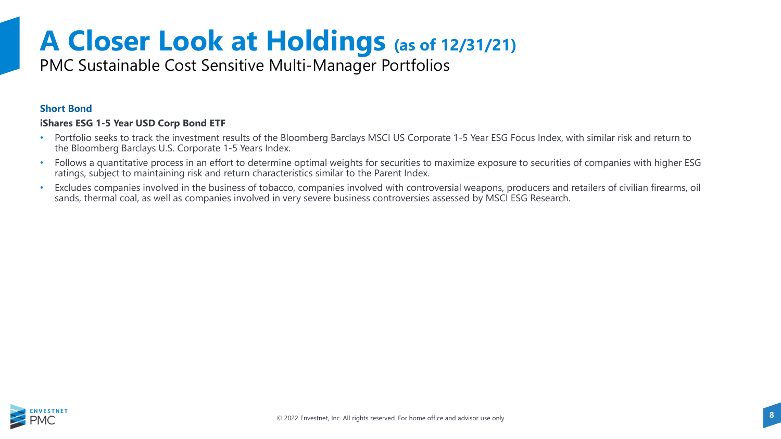PMC Sustainable Cost Sensitive Multi-Manager Portfolios

### **Short Bond**

### **iShares ESG 1-5 Year USD Corp Bond ETF**

- Portfolio seeks to track the investment results of the Bloomberg Barclays MSCI US Corporate 1-5 Year ESG Focus Index, with similar risk and return to the Bloomberg Barclays U.S. Corporate 1-5 Years Index.
- Follows a quantitative process in an effort to determine optimal weights for securities to maximize exposure to securities of companies with higher ESG ratings, subject to maintaining risk and return characteristics similar to the Parent Index.
- Excludes companies involved in the business of tobacco, companies involved with controversial weapons, producers and retailers of civilian firearms, oil sands, thermal coal, as well as companies involved in very severe business controversies assessed by MSCI ESG Research.

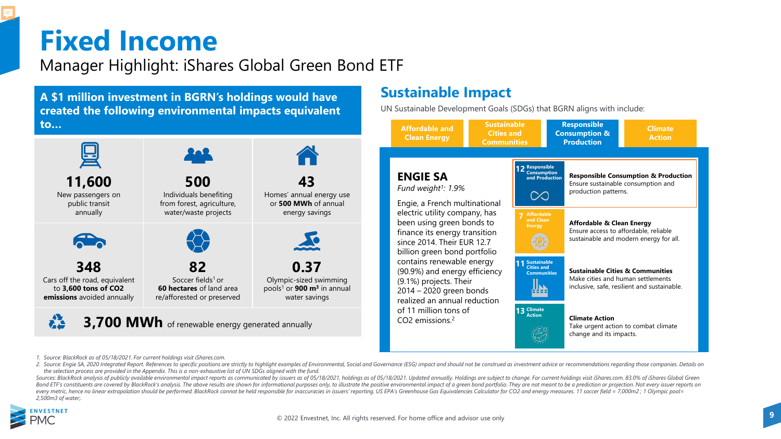## **Fixed Income**

Manager Highlight: iShares Global Green Bond ETF

**A \$1 million investment in BGRN's holdings would have created the following environmental impacts equivalent to…**



### **Sustainable Impact**

UN Sustainable Development Goals (SDGs) that BGRN aligns with include:



*1. Source: BlackRock as of 05/18/2021. For current holdings visit iShares.com.*

2. Source: Engie SA, 2020 Integrated Report. References to specific positions are strictly to highlight examples of Environmental, Social and Governance (ESG) impact and should not be construed as investment advice or reco *the selection process are provided in the Appendix. This is a non-exhaustive list of UN SDGs aligned with the fund.*

Sources: BlackRock analysis of publicly available environmental impact reports as communicated by issuers as of 05/18/2021, holdings as of 05/18/2021. Updated annually. Holdings are subject to change. For current holdings Bond ETF's constituents are covered by BlackRock's analysis. The above results are shown for informational purposes only, to illustrate the positive environmental impact of a areen bond portfolio. They are not meant to be every metric, hence no linear extrapolation should be performed. BlackRock cannot be held responsible for inaccuracies in issuers' reporting. US EPA's Greenhouse Gas Equivalencies Calculator for CO2 and energy measures. 11 *2,500m3 of water;.*